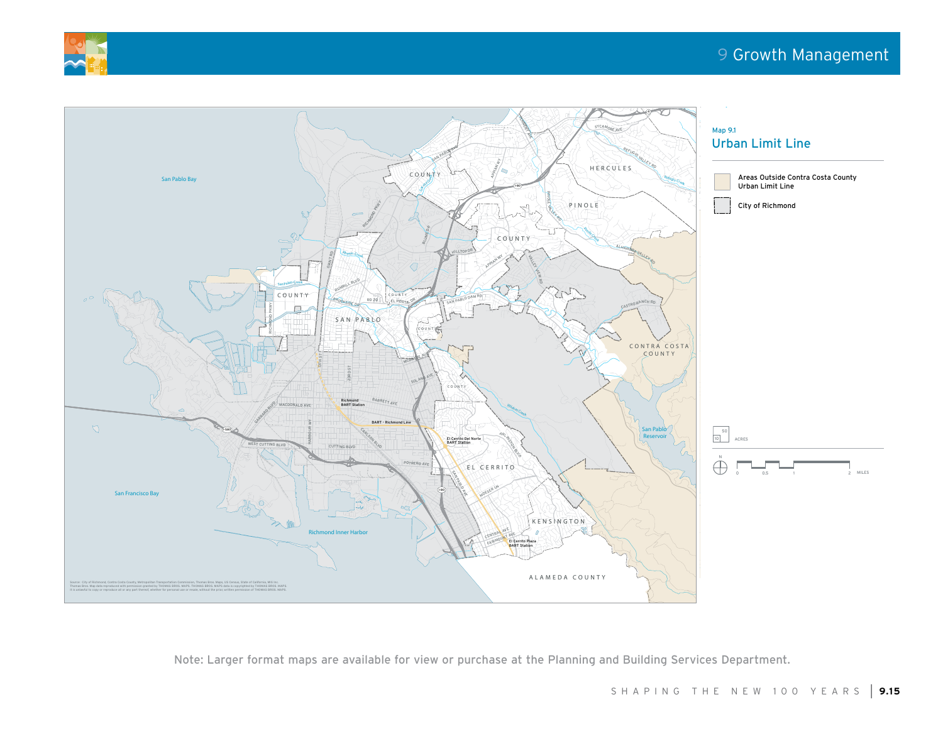



Note: Larger format maps are available for view or purchase at the Planning and Building Services Department.